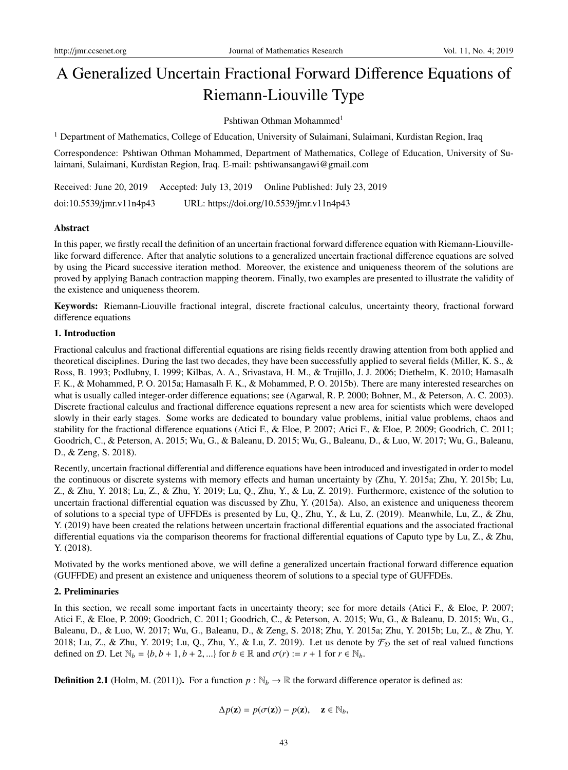# A Generalized Uncertain Fractional Forward Difference Equations of Riemann-Liouville Type

Pshtiwan Othman Mohammed<sup>1</sup>

<sup>1</sup> Department of Mathematics, College of Education, University of Sulaimani, Sulaimani, Kurdistan Region, Iraq

Correspondence: Pshtiwan Othman Mohammed, Department of Mathematics, College of Education, University of Sulaimani, Sulaimani, Kurdistan Region, Iraq. E-mail: pshtiwansangawi@gmail.com

Received: June 20, 2019 Accepted: July 13, 2019 Online Published: July 23, 2019 doi:10.5539/jmr.v11n4p43 URL: https://doi.org/10.5539/jmr.v11n4p43

## Abstract

In this paper, we firstly recall the definition of an uncertain fractional forward difference equation with Riemann-Liouvillelike forward difference. After that analytic solutions to a generalized uncertain fractional difference equations are solved by using the Picard successive iteration method. Moreover, the existence and uniqueness theorem of the solutions are proved by applying Banach contraction mapping theorem. Finally, two examples are presented to illustrate the validity of the existence and uniqueness theorem.

Keywords: Riemann-Liouville fractional integral, discrete fractional calculus, uncertainty theory, fractional forward difference equations

## 1. Introduction

Fractional calculus and fractional differential equations are rising fields recently drawing attention from both applied and theoretical disciplines. During the last two decades, they have been successfully applied to several fields (Miller, K. S., & Ross, B. 1993; Podlubny, I. 1999; Kilbas, A. A., Srivastava, H. M., & Trujillo, J. J. 2006; Diethelm, K. 2010; Hamasalh F. K., & Mohammed, P. O. 2015a; Hamasalh F. K., & Mohammed, P. O. 2015b). There are many interested researches on what is usually called integer-order difference equations; see (Agarwal, R. P. 2000; Bohner, M., & Peterson, A. C. 2003). Discrete fractional calculus and fractional difference equations represent a new area for scientists which were developed slowly in their early stages. Some works are dedicated to boundary value problems, initial value problems, chaos and stability for the fractional difference equations (Atici F., & Eloe, P. 2007; Atici F., & Eloe, P. 2009; Goodrich, C. 2011; Goodrich, C., & Peterson, A. 2015; Wu, G., & Baleanu, D. 2015; Wu, G., Baleanu, D., & Luo, W. 2017; Wu, G., Baleanu, D., & Zeng, S. 2018).

Recently, uncertain fractional differential and difference equations have been introduced and investigated in order to model the continuous or discrete systems with memory effects and human uncertainty by (Zhu, Y. 2015a; Zhu, Y. 2015b; Lu, Z., & Zhu, Y. 2018; Lu, Z., & Zhu, Y. 2019; Lu, Q., Zhu, Y., & Lu, Z. 2019). Furthermore, existence of the solution to uncertain fractional differential equation was discussed by Zhu, Y. (2015a). Also, an existence and uniqueness theorem of solutions to a special type of UFFDEs is presented by Lu, Q., Zhu, Y., & Lu, Z. (2019). Meanwhile, Lu, Z., & Zhu, Y. (2019) have been created the relations between uncertain fractional differential equations and the associated fractional differential equations via the comparison theorems for fractional differential equations of Caputo type by Lu, Z., & Zhu, Y. (2018).

Motivated by the works mentioned above, we will define a generalized uncertain fractional forward difference equation (GUFFDE) and present an existence and uniqueness theorem of solutions to a special type of GUFFDEs.

## 2. Preliminaries

In this section, we recall some important facts in uncertainty theory; see for more details (Atici F., & Eloe, P. 2007; Atici F., & Eloe, P. 2009; Goodrich, C. 2011; Goodrich, C., & Peterson, A. 2015; Wu, G., & Baleanu, D. 2015; Wu, G., Baleanu, D., & Luo, W. 2017; Wu, G., Baleanu, D., & Zeng, S. 2018; Zhu, Y. 2015a; Zhu, Y. 2015b; Lu, Z., & Zhu, Y. 2018; Lu, Z., & Zhu, Y. 2019; Lu, Q., Zhu, Y., & Lu, Z. 2019). Let us denote by  $\mathcal{F}_{\mathcal{D}}$  the set of real valued functions defined on D. Let  $\mathbb{N}_b = \{b, b+1, b+2, ...\}$  for  $b \in \mathbb{R}$  and  $\sigma(r) := r + 1$  for  $r \in \mathbb{N}_b$ .

**Definition 2.1** (Holm, M. (2011)). For a function  $p : \mathbb{N}_b \to \mathbb{R}$  the forward difference operator is defined as:

$$
\Delta p(\mathbf{z}) = p(\sigma(\mathbf{z})) - p(\mathbf{z}), \quad \mathbf{z} \in \mathbb{N}_b,
$$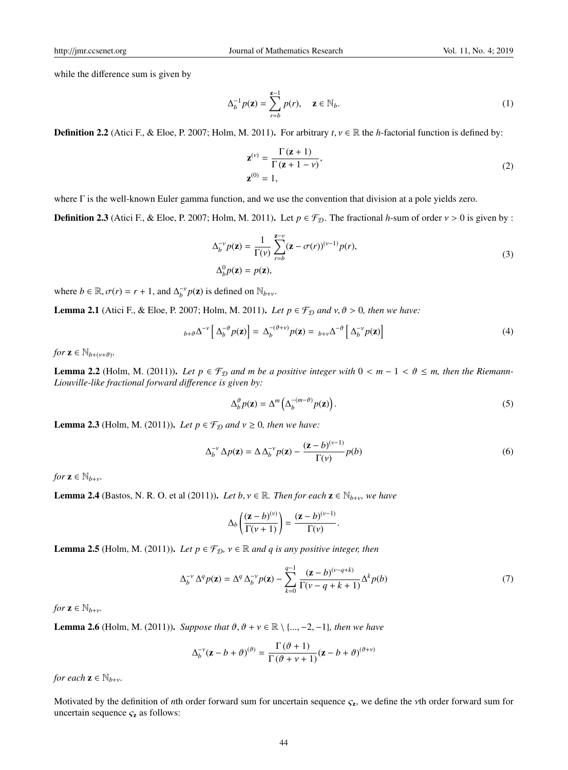while the difference sum is given by

$$
\Delta_b^{-1} p(\mathbf{z}) = \sum_{r=b}^{z-1} p(r), \quad \mathbf{z} \in \mathbb{N}_b.
$$
 (1)

**Definition 2.2** (Atici F., & Eloe, P. 2007; Holm, M. 2011). For arbitrary  $t, v \in \mathbb{R}$  the *h*-factorial function is defined by:

$$
\mathbf{z}^{(\nu)} = \frac{\Gamma(\mathbf{z} + 1)}{\Gamma(\mathbf{z} + 1 - \nu)},
$$
  

$$
\mathbf{z}^{(0)} = 1,
$$
 (2)

where Γ is the well-known Euler gamma function, and we use the convention that division at a pole yields zero.

**Definition 2.3** (Atici F., & Eloe, P. 2007; Holm, M. 2011). Let  $p \in \mathcal{F}_{\mathcal{D}}$ . The fractional *h*-sum of order  $v > 0$  is given by :

$$
\Delta_b^{-\nu} p(\mathbf{z}) = \frac{1}{\Gamma(\nu)} \sum_{r=b}^{\mathbf{z}-\nu} (\mathbf{z} - \sigma(r))^{(\nu-1)} p(r),
$$
  
\n
$$
\Delta_b^0 p(\mathbf{z}) = p(\mathbf{z}),
$$
\n(3)

where  $b \in \mathbb{R}$ ,  $\sigma(r) = r + 1$ , and  $\Delta_b^{-\nu} p(\mathbf{z})$  is defined on  $\mathbb{N}_{b+\nu}$ .

**Lemma 2.1** (Atici F., & Eloe, P. 2007; Holm, M. 2011). Let  $p \in \mathcal{F}_D$  and  $v, \vartheta > 0$ , then we have:

$$
{}_{b+\vartheta}\Delta^{-\nu}\left[\Delta_b^{-\vartheta}p(\mathbf{z})\right]=\Delta_b^{-(\vartheta+\nu)}p(\mathbf{z})={}_{b+\nu}\Delta^{-\vartheta}\left[\Delta_b^{-\nu}p(\mathbf{z})\right]
$$
(4)

*for*  $z \in \mathbb{N}_{b+(\nu+\vartheta)}$ .

**Lemma 2.2** (Holm, M. (2011)). Let  $p \in \mathcal{F}_D$  and m be a positive integer with  $0 < m - 1 < \vartheta \le m$ , then the Riemann-*Liouville-like fractional forward di*ff*erence is given by:*

$$
\Delta_b^{\vartheta} p(\mathbf{z}) = \Delta^m \left( \Delta_b^{-(m-\vartheta)} p(\mathbf{z}) \right). \tag{5}
$$

**Lemma 2.3** (Holm, M. (2011)). Let  $p \in \mathcal{F}_D$  and  $v \ge 0$ , then we have:

$$
\Delta_b^{-\nu} \Delta p(\mathbf{z}) = \Delta \Delta_b^{-\nu} p(\mathbf{z}) - \frac{(\mathbf{z} - b)^{(\nu - 1)}}{\Gamma(\nu)} p(b)
$$
(6)

*for*  $\mathbf{z} \in \mathbb{N}_{b+\nu}$ .

**Lemma 2.4** (Bastos, N. R. O. et al (2011)). *Let b*,  $v \in \mathbb{R}$ . *Then for each*  $z \in \mathbb{N}_{b+v}$ , we have

$$
\Delta_b\left(\frac{(\mathbf{z}-b)^{(\nu)}}{\Gamma(\nu+1)}\right)=\frac{(\mathbf{z}-b)^{(\nu-1)}}{\Gamma(\nu)}.
$$

**Lemma 2.5** (Holm, M. (2011)). Let  $p \in \mathcal{F}_{\mathcal{D}}$ ,  $v \in \mathbb{R}$  and q is any positive integer, then

$$
\Delta_b^{-\nu} \Delta^q p(\mathbf{z}) = \Delta^q \Delta_b^{-\nu} p(\mathbf{z}) - \sum_{k=0}^{q-1} \frac{(\mathbf{z} - b)^{(\nu - q + k)}}{\Gamma(\nu - q + k + 1)} \Delta^k p(b) \tag{7}
$$

*for*  $\mathbf{z} \in \mathbb{N}_{b+v}$ .

**Lemma 2.6** (Holm, M. (2011)). *Suppose that*  $\vartheta, \vartheta + \nu \in \mathbb{R} \setminus \{..., -2, -1\}$ *, then we have* 

$$
\Delta_b^{-\nu}(\mathbf{z} - b + \vartheta)^{(\vartheta)} = \frac{\Gamma(\vartheta + 1)}{\Gamma(\vartheta + \nu + 1)}(\mathbf{z} - b + \vartheta)^{(\vartheta + \nu)}
$$

*for each*  $z \in \mathbb{N}_{b+v}$ *.* 

Motivated by the definition of *n*th order forward sum for uncertain sequence  $\zeta_z$ , we define the *v*th order forward sum for uncertain sequence  $\varsigma_z$  as follows: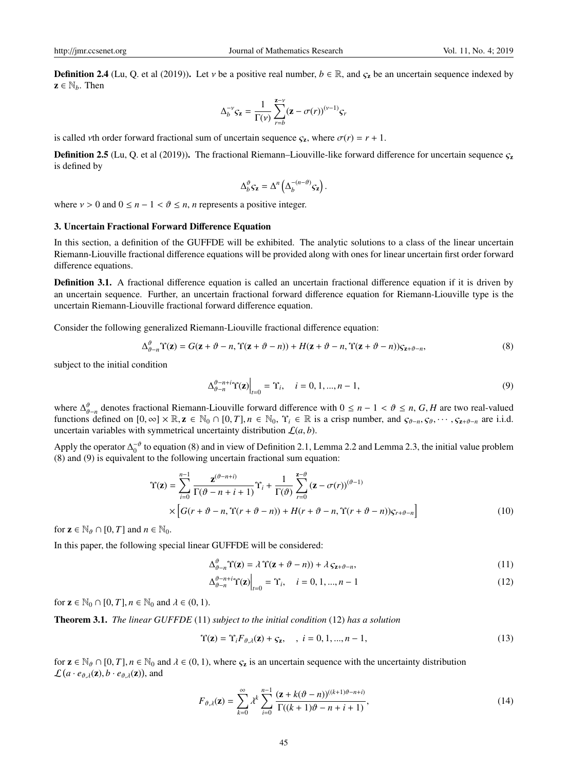**Definition 2.4** (Lu, Q. et al (2019)). Let v be a positive real number,  $b \in \mathbb{R}$ , and  $\varsigma_{\mathbf{z}}$  be an uncertain sequence indexed by  $z \in \mathbb{N}_b$ . Then

$$
\Delta_b^{-\nu} \varsigma_{\mathbf{z}} = \frac{1}{\Gamma(\nu)} \sum_{r=b}^{\mathbf{z}-\nu} (\mathbf{z} - \sigma(r))^{(\nu-1)} \varsigma_r
$$

is called *v*th order forward fractional sum of uncertain sequence  $\zeta$ <sub>z</sub>, where  $\sigma$ (*r*) = *r* + 1.

**Definition 2.5** (Lu, Q. et al (2019)). The fractional Riemann–Liouville-like forward difference for uncertain sequence  $\varsigma$ <sub>z</sub> is defined by

$$
\Delta_b^{\vartheta} \mathbf{\mathcal{S}} \mathbf{z} = \Delta^n \left( \Delta_b^{-(n-\vartheta)} \mathbf{\mathcal{S}} \mathbf{z} \right).
$$

where  $v > 0$  and  $0 \le n - 1 < \vartheta \le n$ , *n* represents a positive integer.

# 3. Uncertain Fractional Forward Difference Equation

In this section, a definition of the GUFFDE will be exhibited. The analytic solutions to a class of the linear uncertain Riemann-Liouville fractional difference equations will be provided along with ones for linear uncertain first order forward difference equations.

Definition 3.1. A fractional difference equation is called an uncertain fractional difference equation if it is driven by an uncertain sequence. Further, an uncertain fractional forward difference equation for Riemann-Liouville type is the uncertain Riemann-Liouville fractional forward difference equation.

Consider the following generalized Riemann-Liouville fractional difference equation:

$$
\Delta_{\theta-n}^{\vartheta} \Upsilon(\mathbf{z}) = G(\mathbf{z} + \vartheta - n, \Upsilon(\mathbf{z} + \vartheta - n)) + H(\mathbf{z} + \vartheta - n, \Upsilon(\mathbf{z} + \vartheta - n))\zeta_{\mathbf{z} + \vartheta - n},
$$
\n(8)

subject to the initial condition

$$
\Delta_{\theta-n}^{\theta-n+i} \Upsilon(\mathbf{z})\Big|_{t=0} = \Upsilon_i, \quad i = 0, 1, ..., n-1,
$$
\n(9)

where ∆ ϑ ϑ−*n* denotes fractional Riemann-Liouville forward difference with 0 ≤ *n* − 1 < ϑ ≤ *n*, *G*, *H* are two real-valued functions defined on  $[0, \infty] \times \mathbb{R}, \mathbf{z} \in \mathbb{N}_0 \cap [0, T], n \in \mathbb{N}_0$ ,  $\Upsilon_i \in \mathbb{R}$  is a crisp number, and  $\zeta_{\vartheta-n}, \zeta_{\vartheta}, \cdots, \zeta_{\mathbf{z}+\vartheta-n}$  are i.i.d. uncertain variables with symmetrical uncertainty distribution  $\mathcal{L}(a, b)$ .

Apply the operator  $\Delta_0^{-\theta}$  to equation (8) and in view of Definition 2.1, Lemma 2.2 and Lemma 2.3, the initial value problem (8) and (9) is equivalent to the following uncertain fractional sum equation:

$$
\Upsilon(\mathbf{z}) = \sum_{i=0}^{n-1} \frac{\mathbf{z}^{(\vartheta - n+i)}}{\Gamma(\vartheta - n + i + 1)} \Upsilon_i + \frac{1}{\Gamma(\vartheta)} \sum_{r=0}^{n-\vartheta} (\mathbf{z} - \sigma(r))^{(\vartheta - 1)} \times \left[ G(r + \vartheta - n, \Upsilon(r + \vartheta - n)) + H(r + \vartheta - n, \Upsilon(r + \vartheta - n)) \zeta_{r + \vartheta - n} \right]
$$
(10)

for  $z \in \mathbb{N}_{\theta} \cap [0, T]$  and  $n \in \mathbb{N}_0$ .

In this paper, the following special linear GUFFDE will be considered:

$$
\Delta_{\theta-n}^{\theta} \Upsilon(\mathbf{z}) = \lambda \Upsilon(\mathbf{z} + \vartheta - n)) + \lambda \, \mathcal{S}_{\mathbf{z} + \vartheta - n},\tag{11}
$$

$$
\Delta_{\theta-n}^{\theta-n+i} \Upsilon(\mathbf{z})\Big|_{t=0} = \Upsilon_i, \quad i = 0, 1, ..., n-1
$$
\n(12)

for  $z \in \mathbb{N}_0 \cap [0, T]$ ,  $n \in \mathbb{N}_0$  and  $\lambda \in (0, 1)$ .

Theorem 3.1. *The linear GUFFDE* (11) *subject to the initial condition* (12) *has a solution*

$$
\Upsilon(\mathbf{z}) = \Upsilon_i F_{\vartheta, \lambda}(\mathbf{z}) + \zeta_{\mathbf{z}}, \quad , \quad i = 0, 1, \dots, n - 1,\tag{13}
$$

for  $z \in \mathbb{N}_{\theta} \cap [0, T]$ ,  $n \in \mathbb{N}_0$  and  $\lambda \in (0, 1)$ , where  $\zeta_z$  is an uncertain sequence with the uncertainty distribution  $\mathcal{L}(a \cdot e_{\vartheta, \lambda}(\mathbf{z}), b \cdot e_{\vartheta, \lambda}(\mathbf{z}))$ , and

$$
F_{\vartheta,\lambda}(\mathbf{z}) = \sum_{k=0}^{\infty} \lambda^k \sum_{i=0}^{n-1} \frac{(\mathbf{z} + k(\vartheta - n))^{((k+1)\vartheta - n+i)}}{\Gamma((k+1)\vartheta - n + i + 1)},\tag{14}
$$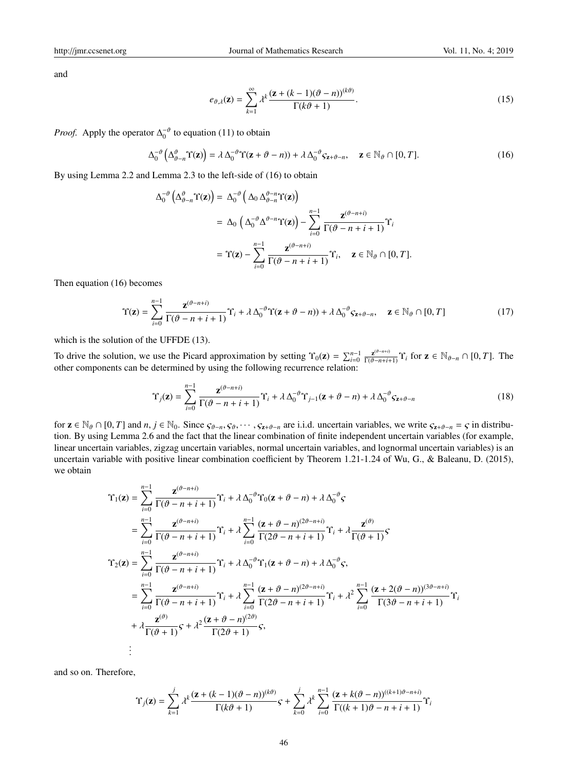and

$$
e_{\vartheta,\lambda}(\mathbf{z}) = \sum_{k=1}^{\infty} \lambda^k \frac{(\mathbf{z} + (k-1)(\vartheta - n))^{(k\vartheta)}}{\Gamma(k\vartheta + 1)}.
$$
\n(15)

*Proof.* Apply the operator  $\Delta_0^{-\theta}$  to equation (11) to obtain

$$
\Delta_0^{-\vartheta}\left(\Delta_{\vartheta-n}^{\vartheta}\Upsilon(\mathbf{z})\right) = \lambda \Delta_0^{-\vartheta}\Upsilon(\mathbf{z} + \vartheta - n) + \lambda \Delta_0^{-\vartheta}\zeta_{\mathbf{z} + \vartheta - n}, \quad \mathbf{z} \in \mathbb{N}_{\vartheta} \cap [0, T].
$$
 (16)

By using Lemma 2.2 and Lemma 2.3 to the left-side of (16) to obtain

$$
\Delta_0^{-\theta} \left( \Delta_{\theta-n}^{\theta} \Upsilon(\mathbf{z}) \right) = \Delta_0^{-\theta} \left( \Delta_0 \Delta_{\theta-n}^{\theta-n} \Upsilon(\mathbf{z}) \right)
$$
  
\n
$$
= \Delta_0 \left( \Delta_0^{-\theta} \Delta^{\theta-n} \Upsilon(\mathbf{z}) \right) - \sum_{i=0}^{n-1} \frac{\mathbf{z}^{(\theta-n+i)}}{\Gamma(\theta-n+i+1)} \Upsilon_i
$$
  
\n
$$
= \Upsilon(\mathbf{z}) - \sum_{i=0}^{n-1} \frac{\mathbf{z}^{(\theta-n+i)}}{\Gamma(\theta-n+i+1)} \Upsilon_i, \quad \mathbf{z} \in \mathbb{N}_{\theta} \cap [0, T].
$$

Then equation (16) becomes

$$
\Upsilon(\mathbf{z}) = \sum_{i=0}^{n-1} \frac{\mathbf{z}^{(\vartheta - n + i)}}{\Gamma(\vartheta - n + i + 1)} \Upsilon_i + \lambda \Delta_0^{-\vartheta} \Upsilon(\mathbf{z} + \vartheta - n) + \lambda \Delta_0^{-\vartheta} \zeta_{\mathbf{z} + \vartheta - n}, \quad \mathbf{z} \in \mathbb{N}_{\vartheta} \cap [0, T] \tag{17}
$$

which is the solution of the UFFDE (13).

To drive the solution, we use the Picard approximation by setting  $\Upsilon_0(\mathbf{z}) = \sum_{i=0}^{n-1} \frac{\mathbf{z}^{(\theta-n+i)}}{\Gamma(\theta-n+i+1)} \Upsilon_i$  for  $\mathbf{z} \in \mathbb{N}_{\theta-n} \cap [0, T]$ . The other components can be determined by using the following recurrence relation:

$$
\Upsilon_j(\mathbf{z}) = \sum_{i=0}^{n-1} \frac{\mathbf{z}^{(\vartheta - n + i)}}{\Gamma(\vartheta - n + i + 1)} \Upsilon_i + \lambda \Delta_0^{-\vartheta} \Upsilon_{j-1}(\mathbf{z} + \vartheta - n) + \lambda \Delta_0^{-\vartheta} \zeta_{\mathbf{z} + \vartheta - n}
$$
(18)

for  $z \in \mathbb{N}_{\theta} \cap [0, T]$  and  $n, j \in \mathbb{N}_{0}$ . Since  $\varsigma_{\theta-n}, \varsigma_{\theta}, \cdots, \varsigma_{z+\theta-n}$  are i.i.d. uncertain variables, we write  $\varsigma_{z+\theta-n} = \varsigma$  in distribution. By using Lemma 2.6 and the fact that the linear combination of finite independent uncertain variables (for example, linear uncertain variables, zigzag uncertain variables, normal uncertain variables, and lognormal uncertain variables) is an uncertain variable with positive linear combination coefficient by Theorem 1.21-1.24 of Wu, G., & Baleanu, D. (2015), we obtain

$$
\begin{split} \Upsilon_{1}(\mathbf{z}) &= \sum_{i=0}^{n-1} \frac{\mathbf{z}^{(\vartheta-n+i)}}{\Gamma(\vartheta-n+i+1)} \Upsilon_{i} + \lambda \Delta_{0}^{-\vartheta} \Upsilon_{0}(\mathbf{z}+\vartheta-n) + \lambda \Delta_{0}^{-\vartheta} \zeta \\ &= \sum_{i=0}^{n-1} \frac{\mathbf{z}^{(\vartheta-n+i)}}{\Gamma(\vartheta-n+i+1)} \Upsilon_{i} + \lambda \sum_{i=0}^{n-1} \frac{(\mathbf{z}+\vartheta-n)^{(2\vartheta-n+i)}}{\Gamma(2\vartheta-n+i+1)} \Upsilon_{i} + \lambda \frac{\mathbf{z}^{(\vartheta)}}{\Gamma(\vartheta+1)} \zeta \\ \Upsilon_{2}(\mathbf{z}) &= \sum_{i=0}^{n-1} \frac{\mathbf{z}^{(\vartheta-n+i)}}{\Gamma(\vartheta-n+i+1)} \Upsilon_{i} + \lambda \Delta_{0}^{-\vartheta} \Upsilon_{1}(\mathbf{z}+\vartheta-n) + \lambda \Delta_{0}^{-\vartheta} \zeta, \\ &= \sum_{i=0}^{n-1} \frac{\mathbf{z}^{(\vartheta-n+i)}}{\Gamma(\vartheta-n+i+1)} \Upsilon_{i} + \lambda \sum_{i=0}^{n-1} \frac{(\mathbf{z}+\vartheta-n)^{(2\vartheta-n+i)}}{\Gamma(2\vartheta-n+i+1)} \Upsilon_{i} + \lambda^{2} \sum_{i=0}^{n-1} \frac{(\mathbf{z}+2(\vartheta-n))^{(3\vartheta-n+i)}}{\Gamma(3\vartheta-n+i+1)} \Upsilon_{i} \\ &+ \lambda \frac{\mathbf{z}^{(\vartheta)}}{\Gamma(\vartheta+1)} \zeta + \lambda^{2} \frac{(\mathbf{z}+\vartheta-n)^{(2\vartheta)}}{\Gamma(2\vartheta+1)} \zeta, \\ &\vdots \end{split}
$$

and so on. Therefore,

$$
\Upsilon_j(\mathbf{z}) = \sum_{k=1}^j \lambda^k \frac{(\mathbf{z} + (k-1)(\vartheta - n))^{(k\vartheta)}}{\Gamma(k\vartheta + 1)} \mathbf{S} + \sum_{k=0}^j \lambda^k \sum_{i=0}^{n-1} \frac{(\mathbf{z} + k(\vartheta - n))^{((k+1)\vartheta - n+i)}}{\Gamma((k+1)\vartheta - n + i + 1)} \Upsilon_i
$$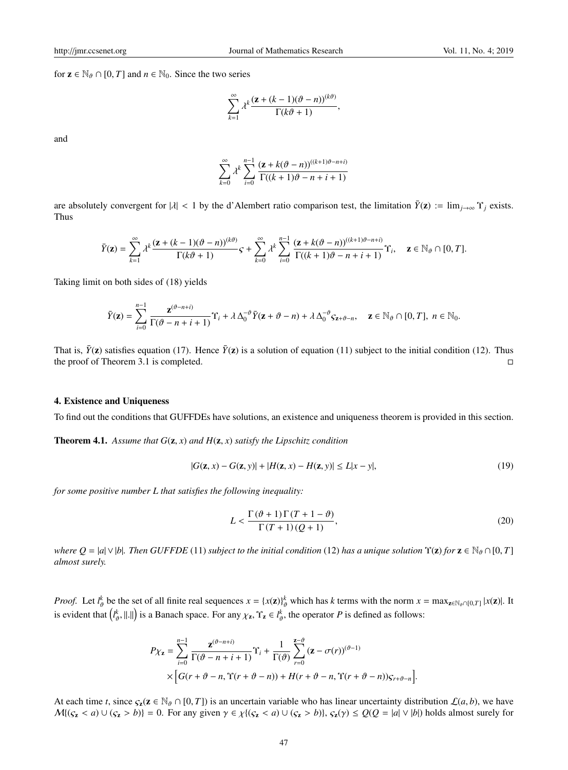for  $z \in \mathbb{N}_{\theta} \cap [0, T]$  and  $n \in \mathbb{N}_0$ . Since the two series

$$
\sum_{k=1}^{\infty} \lambda^k \frac{(\mathbf{z} + (k-1)(\vartheta - n))^{(k\vartheta)}}{\Gamma(k\vartheta + 1)},
$$

and

$$
\sum_{k=0}^{\infty} \lambda^{k} \sum_{i=0}^{n-1} \frac{(\mathbf{z} + k(\vartheta - n))^{((k+1)\vartheta - n + i)}}{\Gamma((k+1)\vartheta - n + i + 1)}
$$

are absolutely convergent for  $|\lambda| < 1$  by the d'Alembert ratio comparison test, the limitation  $\bar{Y}(z) := \lim_{i \to \infty} Y_i$  exists. Thus

$$
\bar{Y}(\mathbf{z}) = \sum_{k=1}^{\infty} \lambda^k \frac{(\mathbf{z} + (k-1)(\vartheta - n))^{(k\vartheta)}}{\Gamma(k\vartheta + 1)} \mathbf{S} + \sum_{k=0}^{\infty} \lambda^k \sum_{i=0}^{n-1} \frac{(\mathbf{z} + k(\vartheta - n))^{((k+1)\vartheta - n + i)}}{\Gamma((k+1)\vartheta - n + i + 1)} \Upsilon_i, \quad \mathbf{z} \in \mathbb{N}_{\vartheta} \cap [0, T].
$$

Taking limit on both sides of (18) yields

$$
\bar{Y}(\mathbf{z}) = \sum_{i=0}^{n-1} \frac{\mathbf{z}^{(\vartheta-n+i)}}{\Gamma(\vartheta-n+i+1)} \Upsilon_i + \lambda \Delta_0^{-\vartheta} \bar{Y}(\mathbf{z}+\vartheta-n) + \lambda \Delta_0^{-\vartheta} \zeta_{\mathbf{z}+\vartheta-n}, \quad \mathbf{z} \in \mathbb{N}_{\vartheta} \cap [0,T], \; n \in \mathbb{N}_0.
$$

That is,  $\bar{Y}(z)$  satisfies equation (17). Hence  $\bar{Y}(z)$  is a solution of equation (11) subject to the initial condition (12). Thus the proof of Theorem 3.1 is completed.

#### 4. Existence and Uniqueness

To find out the conditions that GUFFDEs have solutions, an existence and uniqueness theorem is provided in this section.

**Theorem 4.1.** Assume that  $G(\mathbf{z}, x)$  and  $H(\mathbf{z}, x)$  satisfy the Lipschitz condition

$$
|G(\mathbf{z}, x) - G(\mathbf{z}, y)| + |H(\mathbf{z}, x) - H(\mathbf{z}, y)| \le L|x - y|,
$$
\n(19)

*for some positive number L that satisfies the following inequality:*

$$
L < \frac{\Gamma(\vartheta + 1)\Gamma(T + 1 - \vartheta)}{\Gamma(T + 1)(Q + 1)},\tag{20}
$$

*where*  $Q = |a| \vee |b|$ *. Then GUFFDE* (11) *subject to the initial condition* (12) *has a unique solution*  $\Upsilon(z)$  *for*  $z \in \mathbb{N}_{\theta} \cap [0, T]$ *almost surely.*

*Proof.* Let  $l^k_{\theta}$  be the set of all finite real sequences  $x = \{x(\mathbf{z})\}^k_{\theta}$  which has *k* terms with the norm  $x = \max_{\mathbf{z} \in \mathbb{N}_{\theta} \cap [0,T]} |x(\mathbf{z})|$ . It is evident that  $(l^k_{\theta}, ||.||)$  is a Banach space. For any  $\chi_z$ ,  $\Upsilon_z \in l^k_{\theta}$ , the operator *P* is defined as follows:

$$
P\chi_{\mathbf{z}} = \sum_{i=0}^{n-1} \frac{\mathbf{z}^{(\vartheta - n + i)}}{\Gamma(\vartheta - n + i + 1)} \Upsilon_i + \frac{1}{\Gamma(\vartheta)} \sum_{r=0}^{\mathbf{z} - \vartheta} (\mathbf{z} - \sigma(r))^{(\vartheta - 1)} \times \Big[ G(r + \vartheta - n, \Upsilon(r + \vartheta - n)) + H(r + \vartheta - n, \Upsilon(r + \vartheta - n)) S_{r + \vartheta - n} \Big].
$$

At each time *t*, since  $\zeta_2(z \in \mathbb{N}_{\theta} \cap [0, T])$  is an uncertain variable who has linear uncertainty distribution  $\mathcal{L}(a, b)$ , we have  $M\{(s_{\mathbf{z}} < a) \cup (s_{\mathbf{z}} > b)\} = 0$ . For any given  $\gamma \in \chi\{(s_{\mathbf{z}} < a) \cup (s_{\mathbf{z}} > b)\},\, s_{\mathbf{z}}(\gamma) \leq Q(Q = |a| \vee |b|)$  holds almost surely for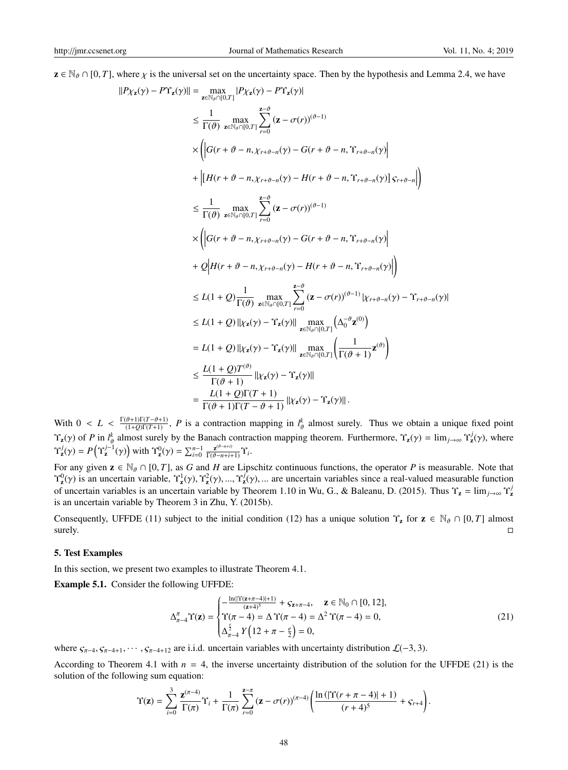$z \in \mathbb{N}_{\theta} \cap [0, T]$ , where  $\chi$  is the universal set on the uncertainty space. Then by the hypothesis and Lemma 2.4, we have

|*P*χz(γ) − *P*Υz(γ)|

$$
||P_{\chi_{\mathbf{z}}(\gamma) - P\Upsilon_{\mathbf{z}}(\gamma)|| = \max_{\mathbf{z} \in \mathbb{N}_{\theta} \cap [0,T]} |P_{\chi_{\mathbf{z}}(\gamma) - P\Upsilon_{\mathbf{z}}(\gamma)|
$$
  
\n
$$
\leq \frac{1}{\Gamma(\vartheta)} \max_{\mathbf{z} \in \mathbb{N}_{\theta} \cap [0,T]} \sum_{r=0}^{z-\vartheta} (\mathbf{z} - \sigma(r))^{(\vartheta-1)}
$$
  
\n
$$
\times \left( |G(r + \vartheta - n, \chi_{r+\vartheta - n}(\gamma) - G(r + \vartheta - n, \Upsilon_{r+\vartheta - n}(\gamma))| + |[H(r + \vartheta - n, \chi_{r+\vartheta - n}(\gamma) - H(r + \vartheta - n, \Upsilon_{r+\vartheta - n}(\gamma))] \varsigma_{r+\vartheta - n}|) \right)
$$
  
\n
$$
\leq \frac{1}{\Gamma(\vartheta)} \max_{\mathbf{z} \in \mathbb{N}_{\vartheta} \cap [0,T]} \sum_{r=0}^{z-\vartheta} (\mathbf{z} - \sigma(r))^{(\vartheta-1)}
$$
  
\n
$$
\times \left( |G(r + \vartheta - n, \chi_{r+\vartheta - n}(\gamma) - G(r + \vartheta - n, \Upsilon_{r+\vartheta - n}(\gamma))| + 2(|H(r + \vartheta - n, \chi_{r+\vartheta - n}(\gamma) - H(r + \vartheta - n, \Upsilon_{r+\vartheta - n}(\gamma))|) \right)
$$
  
\n
$$
\leq L(1 + Q) \frac{1}{\Gamma(\vartheta)} \max_{\mathbf{z} \in \mathbb{N}_{\vartheta} \cap [0,T]} \sum_{r=0}^{z-\vartheta} (\mathbf{z} - \sigma(r))^{(\vartheta-1)} |_{X_r + \vartheta - n}(\gamma) - \Upsilon_{r+\vartheta - n}(\gamma)|
$$
  
\n
$$
\leq L(1 + Q) ||_{X_{\mathbf{z}}(\gamma)} - \Upsilon_{\mathbf{z}}(\gamma)|| \max_{\mathbf{z} \in \mathbb{N}_{\vartheta} \cap [0,T]} \left( \Delta_0^{-\vartheta} \mathbf{z}^{(0)} \right)
$$
  
\n
$$
= L(1 + Q) ||_{X_{\mathbf{z}}(\gamma)} - \Upsilon_{\mathbf{z}}(\gamma)||
$$

With  $0 < L < \frac{\Gamma(\vartheta+1)\Gamma(T-\vartheta+1)}{(1+Q)\Gamma(T+1)}$ , *P* is a contraction mapping in  $l_{\vartheta}^k$  almost surely. Thus we obtain a unique fixed point  $\Upsilon_z(\gamma)$  of *P* in  $l^k_{\theta}$  almost surely by the Banach contraction mapping theorem. Furthermore,  $\Upsilon_z(\gamma) = \lim_{j \to \infty} \Upsilon_z^j(\gamma)$ , where  $\Upsilon_{\mathbf{z}}^{j}(\gamma) = P\left(\Upsilon_{\mathbf{z}}^{j-1}(\gamma)\right)$  with  $\Upsilon_{\mathbf{z}}^{0}(\gamma) = \sum_{i=0}^{n-1} \frac{\mathbf{z}^{(\vartheta - n+i)}}{\Gamma(\vartheta - n+i+1)} \Upsilon_{i}$ .

For any given  $z \in \mathbb{N}_{\theta} \cap [0, T]$ , as *G* and *H* are Lipschitz continuous functions, the operator *P* is measurable. Note that  $\Upsilon_{\mathbf{z}}^{0}(\gamma)$  is an uncertain variable,  $\Upsilon_{\mathbf{z}}^{1}(\gamma), \Upsilon_{\mathbf{z}}^{2}(\gamma), ..., \Upsilon_{\mathbf{z}}^{j}(\gamma), ...$  are uncertain variables since a real-valued measurable function of uncertain variables is an uncertain variable by Theorem 1.10 in Wu, G., & Baleanu, D. (2015). Thus  $\Upsilon_z = \lim_{j\to\infty} \Upsilon_z^j$ is an uncertain variable by Theorem 3 in Zhu, Y. (2015b).

Consequently, UFFDE (11) subject to the initial condition (12) has a unique solution  $\Upsilon_z$  for  $z \in \mathbb{N}_{\theta} \cap [0, T]$  almost  $s_{\text{us}}$  surely.

## 5. Test Examples

In this section, we present two examples to illustrate Theorem 4.1.

Example 5.1. Consider the following UFFDE:

$$
\Delta_{\pi-4}^{\pi} \Upsilon(\mathbf{z}) = \begin{cases}\n-\frac{\ln(|\Upsilon(\mathbf{z}+\pi-4)|+1)}{(\mathbf{z}+4)^5} + \mathcal{S}_{\mathbf{z}+\pi-4}, & \mathbf{z} \in \mathbb{N}_0 \cap [0, 12], \\
\Upsilon(\pi-4) = \Delta \Upsilon(\pi-4) = \Delta^2 \Upsilon(\pi-4) = 0, \\
\Delta_{\pi-4}^{\frac{\varepsilon}{2}} Y\left(12 + \pi - \frac{\varepsilon}{2}\right) = 0,\n\end{cases}
$$
\n(21)

where  $\zeta_{\pi-4}, \zeta_{\pi-4+1}, \cdots, \zeta_{\pi-4+12}$  are i.i.d. uncertain variables with uncertainty distribution  $\mathcal{L}(-3, 3)$ .

According to Theorem 4.1 with  $n = 4$ , the inverse uncertainty distribution of the solution for the UFFDE (21) is the solution of the following sum equation:

$$
\Upsilon(\mathbf{z}) = \sum_{i=0}^{3} \frac{\mathbf{z}^{(\pi-4)}}{\Gamma(\pi)} \Upsilon_i + \frac{1}{\Gamma(\pi)} \sum_{r=0}^{\mathbf{z}-\pi} (\mathbf{z} - \sigma(r))^{(\pi-4)} \left( \frac{\ln(|\Upsilon(r+\pi-4)|+1)}{(r+4)^5} + \zeta_{r+4} \right).
$$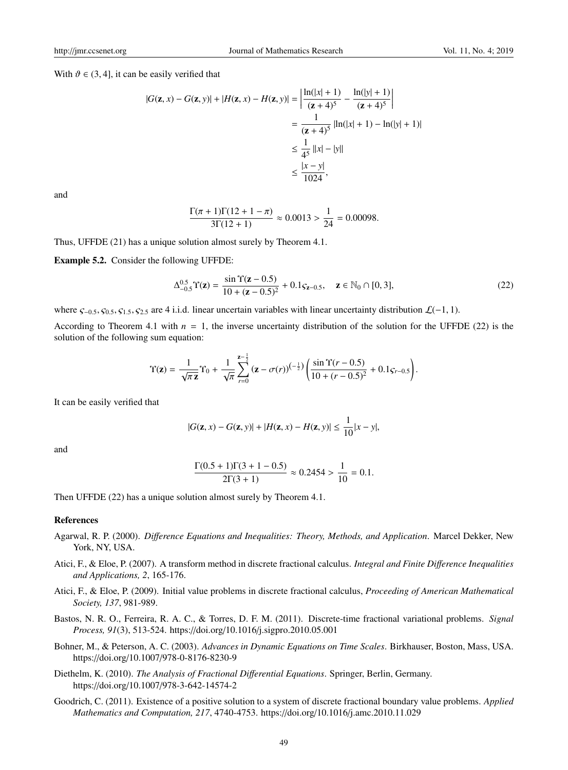With  $\vartheta \in (3, 4]$ , it can be easily verified that

$$
|G(\mathbf{z}, x) - G(\mathbf{z}, y)| + |H(\mathbf{z}, x) - H(\mathbf{z}, y)| = \left| \frac{\ln(|x| + 1)}{(\mathbf{z} + 4)^5} - \frac{\ln(|y| + 1)}{(\mathbf{z} + 4)^5} \right|
$$
  
=  $\frac{1}{(\mathbf{z} + 4)^5} |\ln(|x| + 1) - \ln(|y| + 1)|$   
 $\leq \frac{1}{4^5} ||x| - |y||$   
 $\leq \frac{|x - y|}{1024},$ 

and

$$
\frac{\Gamma(\pi+1)\Gamma(12+1-\pi)}{3\Gamma(12+1)} \approx 0.0013 > \frac{1}{24} = 0.00098.
$$

Thus, UFFDE (21) has a unique solution almost surely by Theorem 4.1.

Example 5.2. Consider the following UFFDE:

$$
\Delta_{-0.5}^{0.5} \Upsilon(\mathbf{z}) = \frac{\sin \Upsilon(\mathbf{z} - 0.5)}{10 + (\mathbf{z} - 0.5)^2} + 0.1 \varsigma_{\mathbf{z} - 0.5}, \quad \mathbf{z} \in \mathbb{N}_0 \cap [0, 3], \tag{22}
$$

where  $\zeta_{-0.5}$ ,  $\zeta_{0.5}$ ,  $\zeta_{1.5}$ ,  $\zeta_{2.5}$  are 4 i.i.d. linear uncertain variables with linear uncertainty distribution  $\mathcal{L}(-1, 1)$ .

According to Theorem 4.1 with  $n = 1$ , the inverse uncertainty distribution of the solution for the UFFDE (22) is the solution of the following sum equation:

$$
\Upsilon(\mathbf{z}) = \frac{1}{\sqrt{\pi} \mathbf{z}} \Upsilon_0 + \frac{1}{\sqrt{\pi}} \sum_{r=0}^{\mathbf{z} - \frac{1}{2}} (\mathbf{z} - \sigma(r))^{(-\frac{1}{2})} \left( \frac{\sin \Upsilon(r - 0.5)}{10 + (r - 0.5)^2} + 0.1 \varsigma_{r - 0.5} \right).
$$

It can be easily verified that

$$
|G(\mathbf{z},x) - G(\mathbf{z},y)| + |H(\mathbf{z},x) - H(\mathbf{z},y)| \le \frac{1}{10}|x - y|,
$$

and

$$
\frac{\Gamma(0.5+1)\Gamma(3+1-0.5)}{2\Gamma(3+1)} \approx 0.2454 > \frac{1}{10} = 0.1.
$$

Then UFFDE (22) has a unique solution almost surely by Theorem 4.1.

#### References

- Agarwal, R. P. (2000). *Di*ff*erence Equations and Inequalities: Theory, Methods, and Application*. Marcel Dekker, New York, NY, USA.
- Atici, F., & Eloe, P. (2007). A transform method in discrete fractional calculus. *Integral and Finite Di*ff*erence Inequalities and Applications, 2*, 165-176.
- Atici, F., & Eloe, P. (2009). Initial value problems in discrete fractional calculus, *Proceeding of American Mathematical Society, 137*, 981-989.
- Bastos, N. R. O., Ferreira, R. A. C., & Torres, D. F. M. (2011). Discrete-time fractional variational problems. *Signal Process, 91*(3), 513-524. https://doi.org/10.1016/j.sigpro.2010.05.001
- Bohner, M., & Peterson, A. C. (2003). *Advances in Dynamic Equations on Time Scales*. Birkhauser, Boston, Mass, USA. https://doi.org/10.1007/978-0-8176-8230-9
- Diethelm, K. (2010). *The Analysis of Fractional Di*ff*erential Equations*. Springer, Berlin, Germany. https://doi.org/10.1007/978-3-642-14574-2
- Goodrich, C. (2011). Existence of a positive solution to a system of discrete fractional boundary value problems. *Applied Mathematics and Computation, 217*, 4740-4753. https://doi.org/10.1016/j.amc.2010.11.029